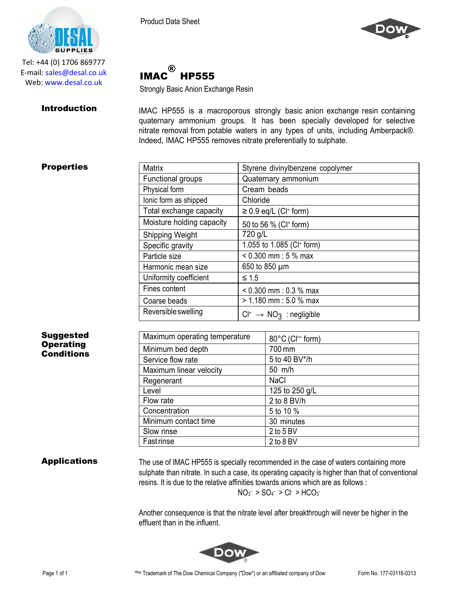®

HP555 Strongly Basic Anion Exchange Resin

IMAC





Tel: +44 (0) 1706 869777 E‐mail: sales@desal.co.uk Web: www.desal.co.uk

**Introduction** IMAC HP555 is a macroporous strongly basic anion exchange resin containing quaternary ammonium groups. It has been specially developed for selective nitrate removal from potable waters in any types of units, including Amberpack®. Indeed, IMAC HP555 removes nitrate preferentially to sulphate.

# **Properties**

| <b>Matrix</b>             | Styrene divinylbenzene copolymer         |
|---------------------------|------------------------------------------|
| Functional groups         | Quaternary ammonium                      |
| Physical form             | Cream beads                              |
| lonic form as shipped     | Chloride                                 |
| Total exchange capacity   | $\geq$ 0.9 eq/L (CI <sup>-</sup> form)   |
| Moisture holding capacity | 50 to 56 % (CI <sup>-</sup> form)        |
| Shipping Weight           | 720 g/L                                  |
| Specific gravity          | 1.055 to 1.085 (CI <sup>-</sup> form)    |
| Particle size             | $< 0.300$ mm : 5 % max                   |
| Harmonic mean size        | 650 to 850 µm                            |
| Uniformity coefficient    | $\leq 1.5$                               |
| Fines content             | $< 0.300$ mm : 0.3 % max                 |
| Coarse beads              | $> 1.180$ mm : 5.0 % max                 |
| Reversible swelling       | $Cl^{-} \rightarrow NO_{3}$ : negligible |

## Suggested **Operating Conditions**

| Maximum operating temperature | 80°C (CI <sup>-</sup> form) |
|-------------------------------|-----------------------------|
| Minimum bed depth             | 700 mm                      |
| Service flow rate             | 5 to 40 BV*/h               |
| Maximum linear velocity       | 50 m/h                      |
| Regenerant                    | <b>NaCl</b>                 |
| Level                         | 125 to 250 g/L              |
| Flow rate                     | 2 to 8 BV/h                 |
| Concentration                 | 5 to 10 %                   |
| Minimum contact time          | 30 minutes                  |
| Slow rinse                    | $2$ to 5 BV                 |
| <b>Fastrinse</b>              | 2 to 8 BV                   |

Applications The use of IMAC HP555 is specially recommended in the case of waters containing more sulphate than nitrate. In such a case, its operating capacity is higher than that of conventional resins. It is due to the relative affinities towards anions which are as follows :

 $NO_3$  >  $SO_4$  >  $Cl^-$  >  $HCO_3$ 

Another consequence is that the nitrate level after breakthrough will never be higher in the effluent than in the influent.